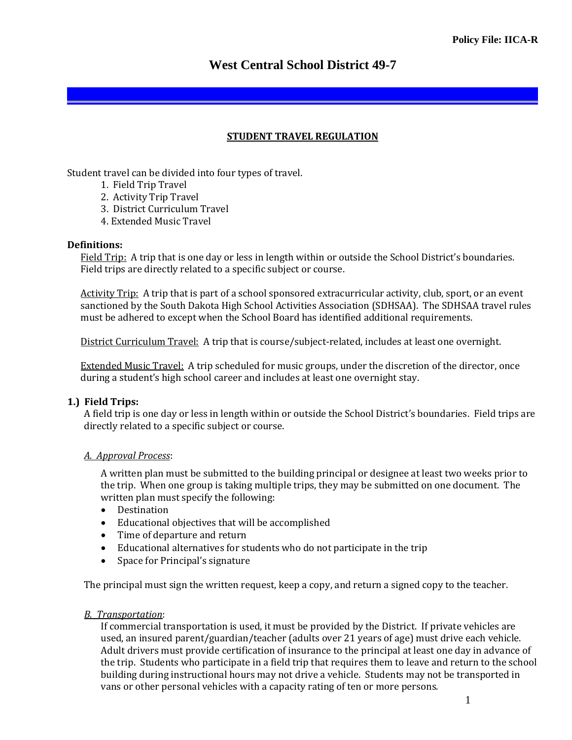# **West Central School District 49-7**

#### **STUDENT TRAVEL REGULATION**

Student travel can be divided into four types of travel.

- 1. Field Trip Travel
- 2. Activity Trip Travel
- 3. District Curriculum Travel
- 4. Extended Music Travel

#### **Definitions:**

Field Trip: A trip that is one day or less in length within or outside the School District's boundaries. Field trips are directly related to a specific subject or course.

Activity Trip:A trip that is part of a school sponsored extracurricular activity, club, sport, or an event sanctioned by the South Dakota High School Activities Association (SDHSAA). The SDHSAA travel rules must be adhered to except when the School Board has identified additional requirements.

District Curriculum Travel:A trip that is course/subject-related, includes at least one overnight.

Extended Music Travel:A trip scheduled for music groups, under the discretion of the director, once during a student's high school career and includes at least one overnight stay.

#### **1.) Field Trips:**

A field trip is one day or less in length within or outside the School District's boundaries. Field trips are directly related to a specific subject or course.

#### *A. Approval Process*:

A written plan must be submitted to the building principal or designee at least two weeks prior to the trip. When one group is taking multiple trips, they may be submitted on one document. The written plan must specify the following:

- Destination
- Educational objectives that will be accomplished
- Time of departure and return
- Educational alternatives for students who do not participate in the trip
- Space for Principal's signature

The principal must sign the written request, keep a copy, and return a signed copy to the teacher.

#### *B. Transportation*:

If commercial transportation is used, it must be provided by the District. If private vehicles are used, an insured parent/guardian/teacher (adults over 21 years of age) must drive each vehicle. Adult drivers must provide certification of insurance to the principal at least one day in advance of the trip. Students who participate in a field trip that requires them to leave and return to the school building during instructional hours may not drive a vehicle. Students may not be transported in vans or other personal vehicles with a capacity rating of ten or more persons.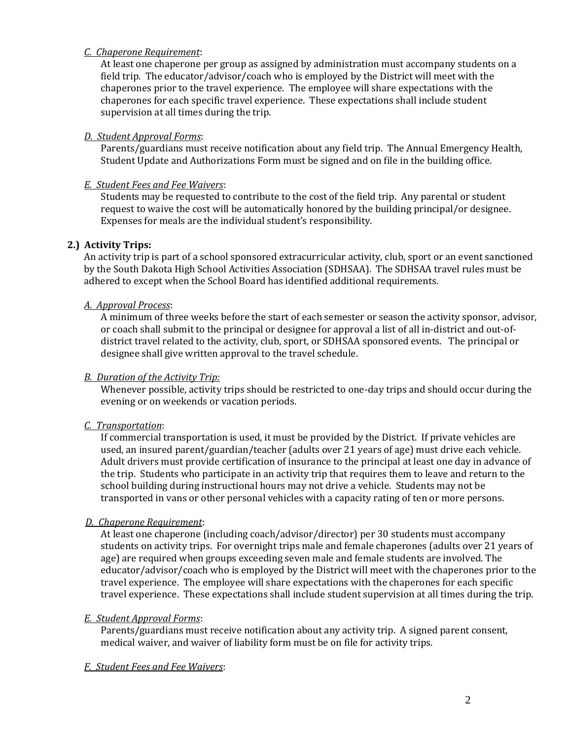#### *C. Chaperone Requirement*:

At least one chaperone per group as assigned by administration must accompany students on a field trip. The educator/advisor/coach who is employed by the District will meet with the chaperones prior to the travel experience. The employee will share expectations with the chaperones for each specific travel experience. These expectations shall include student supervision at all times during the trip.

## *D. Student Approval Forms*:

Parents/guardians must receive notification about any field trip. The Annual Emergency Health, Student Update and Authorizations Form must be signed and on file in the building office.

## *E. Student Fees and Fee Waivers*:

Students may be requested to contribute to the cost of the field trip. Any parental or student request to waive the cost will be automatically honored by the building principal/or designee. Expenses for meals are the individual student's responsibility.

## **2.) Activity Trips:**

An activity trip is part of a school sponsored extracurricular activity, club, sport or an event sanctioned by the South Dakota High School Activities Association (SDHSAA). The SDHSAA travel rules must be adhered to except when the School Board has identified additional requirements.

#### *A. Approval Process*:

A minimum of three weeks before the start of each semester or season the activity sponsor, advisor, or coach shall submit to the principal or designee for approval a list of all in-district and out-ofdistrict travel related to the activity, club, sport, or SDHSAA sponsored events. The principal or designee shall give written approval to the travel schedule.

## *B. Duration of the Activity Trip:*

Whenever possible, activity trips should be restricted to one-day trips and should occur during the evening or on weekends or vacation periods.

## *C. Transportation*:

If commercial transportation is used, it must be provided by the District. If private vehicles are used, an insured parent/guardian/teacher (adults over 21 years of age) must drive each vehicle. Adult drivers must provide certification of insurance to the principal at least one day in advance of the trip. Students who participate in an activity trip that requires them to leave and return to the school building during instructional hours may not drive a vehicle. Students may not be transported in vans or other personal vehicles with a capacity rating of ten or more persons.

#### *D. Chaperone Requirement*:

At least one chaperone (including coach/advisor/director) per 30 students must accompany students on activity trips. For overnight trips male and female chaperones (adults over 21 years of age) are required when groups exceeding seven male and female students are involved. The educator/advisor/coach who is employed by the District will meet with the chaperones prior to the travel experience. The employee will share expectations with the chaperones for each specific travel experience. These expectations shall include student supervision at all times during the trip.

#### *E. Student Approval Forms*:

Parents/guardians must receive notification about any activity trip. A signed parent consent, medical waiver, and waiver of liability form must be on file for activity trips.

#### *F. Student Fees and Fee Waivers*: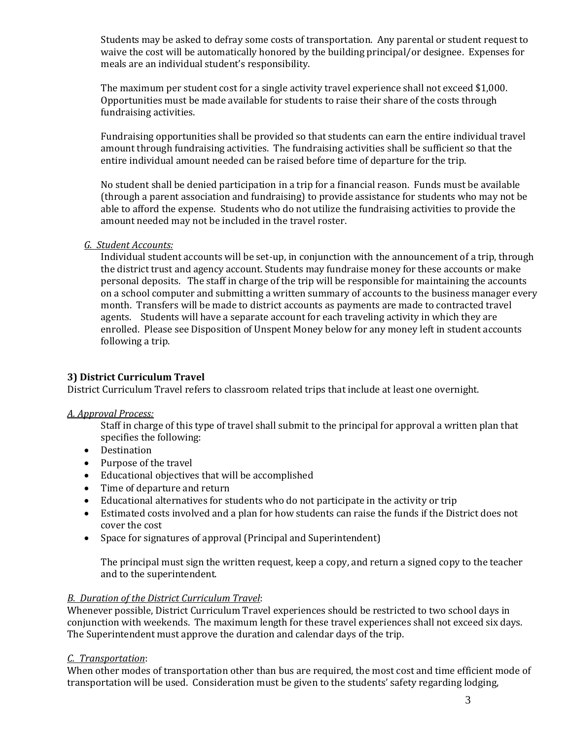Students may be asked to defray some costs of transportation. Any parental or student request to waive the cost will be automatically honored by the building principal/or designee. Expenses for meals are an individual student's responsibility.

The maximum per student cost for a single activity travel experience shall not exceed \$1,000. Opportunities must be made available for students to raise their share of the costs through fundraising activities.

Fundraising opportunities shall be provided so that students can earn the entire individual travel amount through fundraising activities. The fundraising activities shall be sufficient so that the entire individual amount needed can be raised before time of departure for the trip.

No student shall be denied participation in a trip for a financial reason. Funds must be available (through a parent association and fundraising) to provide assistance for students who may not be able to afford the expense. Students who do not utilize the fundraising activities to provide the amount needed may not be included in the travel roster.

*G. Student Accounts:*

Individual student accounts will be set-up, in conjunction with the announcement of a trip, through the district trust and agency account. Students may fundraise money for these accounts or make personal deposits. The staff in charge of the trip will be responsible for maintaining the accounts on a school computer and submitting a written summary of accounts to the business manager every month. Transfers will be made to district accounts as payments are made to contracted travel agents. Students will have a separate account for each traveling activity in which they are enrolled. Please see Disposition of Unspent Money below for any money left in student accounts following a trip.

## **3) District Curriculum Travel**

District Curriculum Travel refers to classroom related trips that include at least one overnight.

#### *A. Approval Process:*

Staff in charge of this type of travel shall submit to the principal for approval a written plan that specifies the following:

- Destination
- Purpose of the travel
- Educational objectives that will be accomplished
- Time of departure and return
- Educational alternatives for students who do not participate in the activity or trip
- Estimated costs involved and a plan for how students can raise the funds if the District does not cover the cost
- Space for signatures of approval (Principal and Superintendent)

The principal must sign the written request, keep a copy, and return a signed copy to the teacher and to the superintendent.

#### *B. Duration of the District Curriculum Travel*:

Whenever possible, District Curriculum Travel experiences should be restricted to two school days in conjunction with weekends. The maximum length for these travel experiences shall not exceed six days. The Superintendent must approve the duration and calendar days of the trip.

### *C. Transportation*:

When other modes of transportation other than bus are required, the most cost and time efficient mode of transportation will be used. Consideration must be given to the students' safety regarding lodging,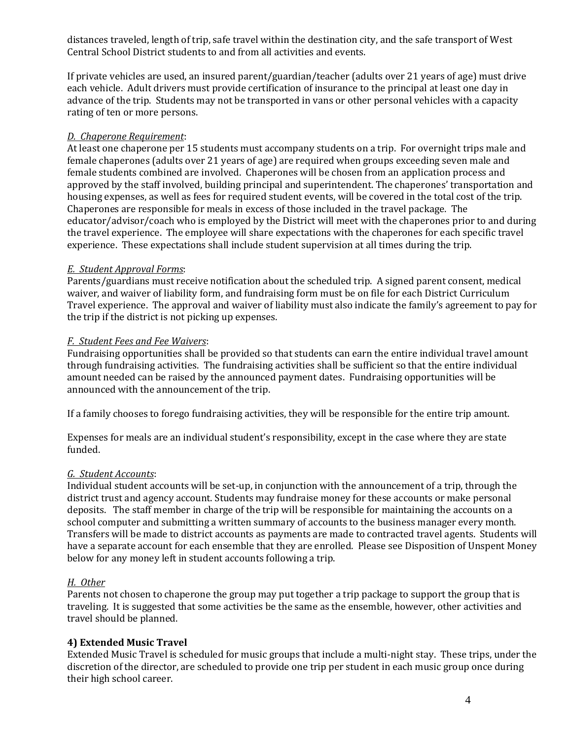distances traveled, length of trip, safe travel within the destination city, and the safe transport of West Central School District students to and from all activities and events.

If private vehicles are used, an insured parent/guardian/teacher (adults over 21 years of age) must drive each vehicle. Adult drivers must provide certification of insurance to the principal at least one day in advance of the trip. Students may not be transported in vans or other personal vehicles with a capacity rating of ten or more persons.

## *D. Chaperone Requirement*:

At least one chaperone per 15 students must accompany students on a trip. For overnight trips male and female chaperones (adults over 21 years of age) are required when groups exceeding seven male and female students combined are involved. Chaperones will be chosen from an application process and approved by the staff involved, building principal and superintendent. The chaperones' transportation and housing expenses, as well as fees for required student events, will be covered in the total cost of the trip. Chaperones are responsible for meals in excess of those included in the travel package. The educator/advisor/coach who is employed by the District will meet with the chaperones prior to and during the travel experience. The employee will share expectations with the chaperones for each specific travel experience. These expectations shall include student supervision at all times during the trip.

#### *E. Student Approval Forms*:

Parents/guardians must receive notification about the scheduled trip. A signed parent consent, medical waiver, and waiver of liability form, and fundraising form must be on file for each District Curriculum Travel experience. The approval and waiver of liability must also indicate the family's agreement to pay for the trip if the district is not picking up expenses.

#### *F. Student Fees and Fee Waivers*:

Fundraising opportunities shall be provided so that students can earn the entire individual travel amount through fundraising activities. The fundraising activities shall be sufficient so that the entire individual amount needed can be raised by the announced payment dates. Fundraising opportunities will be announced with the announcement of the trip.

If a family chooses to forego fundraising activities, they will be responsible for the entire trip amount.

Expenses for meals are an individual student's responsibility, except in the case where they are state funded.

#### *G. Student Accounts*:

Individual student accounts will be set-up, in conjunction with the announcement of a trip, through the district trust and agency account. Students may fundraise money for these accounts or make personal deposits. The staff member in charge of the trip will be responsible for maintaining the accounts on a school computer and submitting a written summary of accounts to the business manager every month. Transfers will be made to district accounts as payments are made to contracted travel agents. Students will have a separate account for each ensemble that they are enrolled. Please see Disposition of Unspent Money below for any money left in student accounts following a trip.

#### *H. Other*

Parents not chosen to chaperone the group may put together a trip package to support the group that is traveling. It is suggested that some activities be the same as the ensemble, however, other activities and travel should be planned.

## **4) Extended Music Travel**

Extended Music Travel is scheduled for music groups that include a multi-night stay. These trips, under the discretion of the director, are scheduled to provide one trip per student in each music group once during their high school career.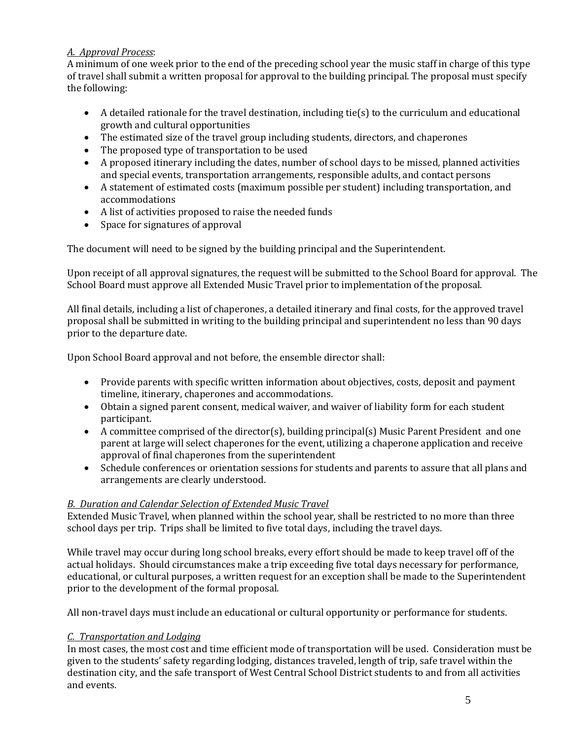## *A. Approval Process*:

A minimum of one week prior to the end of the preceding school year the music staff in charge of this type of travel shall submit a written proposal for approval to the building principal. The proposal must specify the following:

- A detailed rationale for the travel destination, including tie(s) to the curriculum and educational growth and cultural opportunities
- The estimated size of the travel group including students, directors, and chaperones
- The proposed type of transportation to be used
- A proposed itinerary including the dates, number of school days to be missed, planned activities and special events, transportation arrangements, responsible adults, and contact persons
- A statement of estimated costs (maximum possible per student) including transportation, and accommodations
- A list of activities proposed to raise the needed funds
- Space for signatures of approval

The document will need to be signed by the building principal and the Superintendent.

Upon receipt of all approval signatures, the request will be submitted to the School Board for approval. The School Board must approve all Extended Music Travel prior to implementation of the proposal.

All final details, including a list of chaperones, a detailed itinerary and final costs, for the approved travel proposal shall be submitted in writing to the building principal and superintendent no less than 90 days prior to the departure date.

Upon School Board approval and not before, the ensemble director shall:

- Provide parents with specific written information about objectives, costs, deposit and payment timeline, itinerary, chaperones and accommodations.
- Obtain a signed parent consent, medical waiver, and waiver of liability form for each student participant.
- A committee comprised of the director(s), building principal(s) Music Parent President and one parent at large will select chaperones for the event, utilizing a chaperone application and receive approval of final chaperones from the superintendent
- Schedule conferences or orientation sessions for students and parents to assure that all plans and arrangements are clearly understood.

# *B. Duration and Calendar Selection of Extended Music Travel*

Extended Music Travel, when planned within the school year, shall be restricted to no more than three school days per trip. Trips shall be limited to five total days, including the travel days.

While travel may occur during long school breaks, every effort should be made to keep travel off of the actual holidays. Should circumstances make a trip exceeding five total days necessary for performance, educational, or cultural purposes, a written request for an exception shall be made to the Superintendent prior to the development of the formal proposal.

All non-travel days must include an educational or cultural opportunity or performance for students.

## *C. Transportation and Lodging*

In most cases, the most cost and time efficient mode of transportation will be used. Consideration must be given to the students' safety regarding lodging, distances traveled, length of trip, safe travel within the destination city, and the safe transport of West Central School District students to and from all activities and events.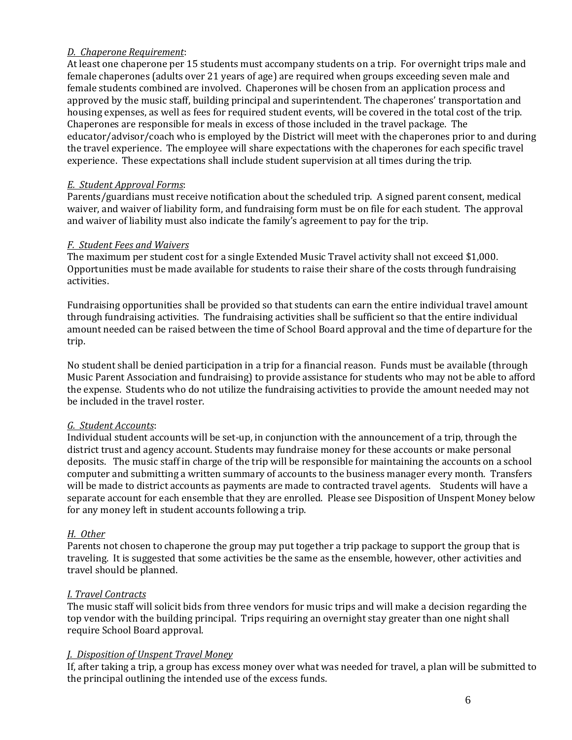### *D. Chaperone Requirement*:

At least one chaperone per 15 students must accompany students on a trip. For overnight trips male and female chaperones (adults over 21 years of age) are required when groups exceeding seven male and female students combined are involved. Chaperones will be chosen from an application process and approved by the music staff, building principal and superintendent. The chaperones' transportation and housing expenses, as well as fees for required student events, will be covered in the total cost of the trip. Chaperones are responsible for meals in excess of those included in the travel package. The educator/advisor/coach who is employed by the District will meet with the chaperones prior to and during the travel experience. The employee will share expectations with the chaperones for each specific travel experience. These expectations shall include student supervision at all times during the trip.

### *E. Student Approval Forms*:

Parents/guardians must receive notification about the scheduled trip. A signed parent consent, medical waiver, and waiver of liability form, and fundraising form must be on file for each student. The approval and waiver of liability must also indicate the family's agreement to pay for the trip.

#### *F. Student Fees and Waivers*

The maximum per student cost for a single Extended Music Travel activity shall not exceed \$1,000. Opportunities must be made available for students to raise their share of the costs through fundraising activities.

Fundraising opportunities shall be provided so that students can earn the entire individual travel amount through fundraising activities. The fundraising activities shall be sufficient so that the entire individual amount needed can be raised between the time of School Board approval and the time of departure for the trip.

No student shall be denied participation in a trip for a financial reason. Funds must be available (through Music Parent Association and fundraising) to provide assistance for students who may not be able to afford the expense. Students who do not utilize the fundraising activities to provide the amount needed may not be included in the travel roster.

## *G. Student Accounts*:

Individual student accounts will be set-up, in conjunction with the announcement of a trip, through the district trust and agency account. Students may fundraise money for these accounts or make personal deposits. The music staff in charge of the trip will be responsible for maintaining the accounts on a school computer and submitting a written summary of accounts to the business manager every month. Transfers will be made to district accounts as payments are made to contracted travel agents. Students will have a separate account for each ensemble that they are enrolled. Please see Disposition of Unspent Money below for any money left in student accounts following a trip.

## *H. Other*

Parents not chosen to chaperone the group may put together a trip package to support the group that is traveling. It is suggested that some activities be the same as the ensemble, however, other activities and travel should be planned.

## *I. Travel Contracts*

The music staff will solicit bids from three vendors for music trips and will make a decision regarding the top vendor with the building principal. Trips requiring an overnight stay greater than one night shall require School Board approval.

## *J. Disposition of Unspent Travel Money*

If, after taking a trip, a group has excess money over what was needed for travel, a plan will be submitted to the principal outlining the intended use of the excess funds.